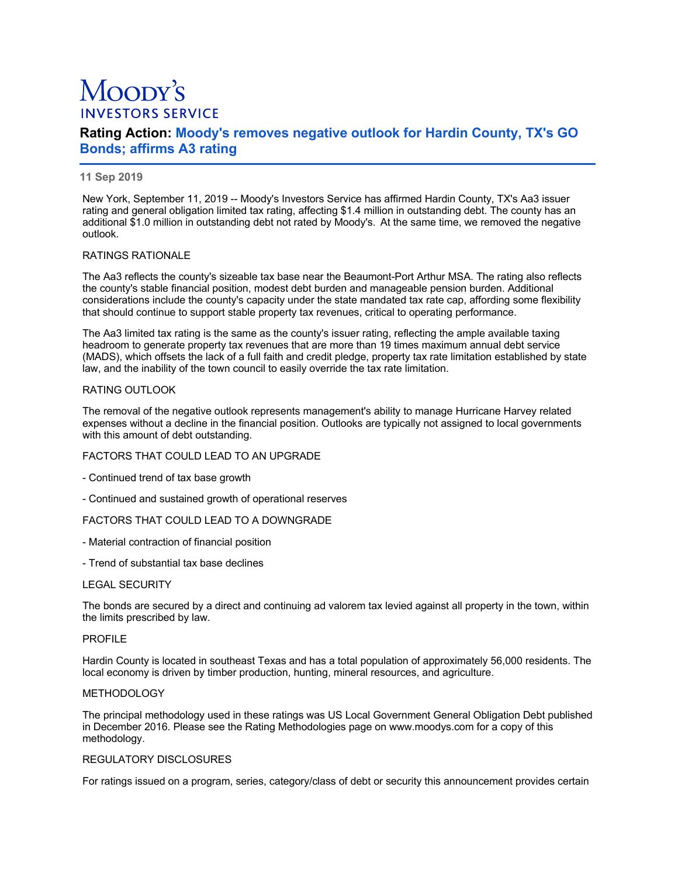# Moopy's **INVESTORS SERVICE**

## **Rating Action: Moody's removes negative outlook for Hardin County, TX's GO Bonds; affirms A3 rating**

#### **11 Sep 2019**

New York, September 11, 2019 -- Moody's Investors Service has affirmed Hardin County, TX's Aa3 issuer rating and general obligation limited tax rating, affecting \$1.4 million in outstanding debt. The county has an additional \$1.0 million in outstanding debt not rated by Moody's. At the same time, we removed the negative outlook.

#### RATINGS RATIONALE

The Aa3 reflects the county's sizeable tax base near the Beaumont-Port Arthur MSA. The rating also reflects the county's stable financial position, modest debt burden and manageable pension burden. Additional considerations include the county's capacity under the state mandated tax rate cap, affording some flexibility that should continue to support stable property tax revenues, critical to operating performance.

The Aa3 limited tax rating is the same as the county's issuer rating, reflecting the ample available taxing headroom to generate property tax revenues that are more than 19 times maximum annual debt service (MADS), which offsets the lack of a full faith and credit pledge, property tax rate limitation established by state law, and the inability of the town council to easily override the tax rate limitation.

#### RATING OUTLOOK

The removal of the negative outlook represents management's ability to manage Hurricane Harvey related expenses without a decline in the financial position. Outlooks are typically not assigned to local governments with this amount of debt outstanding.

### FACTORS THAT COULD LEAD TO AN UPGRADE

- Continued trend of tax base growth
- Continued and sustained growth of operational reserves

#### FACTORS THAT COULD LEAD TO A DOWNGRADE

- Material contraction of financial position
- Trend of substantial tax base declines

#### LEGAL SECURITY

The bonds are secured by a direct and continuing ad valorem tax levied against all property in the town, within the limits prescribed by law.

#### PROFILE

Hardin County is located in southeast Texas and has a total population of approximately 56,000 residents. The local economy is driven by timber production, hunting, mineral resources, and agriculture.

#### METHODOLOGY

The principal methodology used in these ratings was US Local Government General Obligation Debt published in December 2016. Please see the Rating Methodologies page on www.moodys.com for a copy of this methodology.

#### REGULATORY DISCLOSURES

For ratings issued on a program, series, category/class of debt or security this announcement provides certain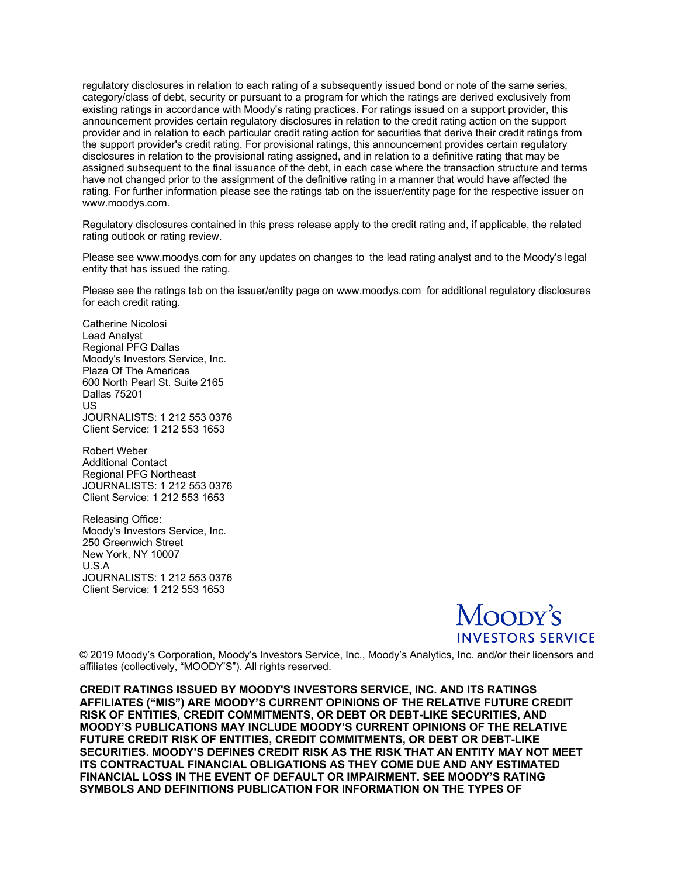regulatory disclosures in relation to each rating of a subsequently issued bond or note of the same series, category/class of debt, security or pursuant to a program for which the ratings are derived exclusively from existing ratings in accordance with Moody's rating practices. For ratings issued on a support provider, this announcement provides certain regulatory disclosures in relation to the credit rating action on the support provider and in relation to each particular credit rating action for securities that derive their credit ratings from the support provider's credit rating. For provisional ratings, this announcement provides certain regulatory disclosures in relation to the provisional rating assigned, and in relation to a definitive rating that may be assigned subsequent to the final issuance of the debt, in each case where the transaction structure and terms have not changed prior to the assignment of the definitive rating in a manner that would have affected the rating. For further information please see the ratings tab on the issuer/entity page for the respective issuer on www.moodys.com.

Regulatory disclosures contained in this press release apply to the credit rating and, if applicable, the related rating outlook or rating review.

Please see www.moodys.com for any updates on changes to the lead rating analyst and to the Moody's legal entity that has issued the rating.

Please see the ratings tab on the issuer/entity page on www.moodys.com for additional regulatory disclosures for each credit rating.

Catherine Nicolosi Lead Analyst Regional PFG Dallas Moody's Investors Service, Inc. Plaza Of The Americas 600 North Pearl St. Suite 2165 Dallas 75201 US JOURNALISTS: 1 212 553 0376 Client Service: 1 212 553 1653

Robert Weber Additional Contact Regional PFG Northeast JOURNALISTS: 1 212 553 0376 Client Service: 1 212 553 1653

Releasing Office: Moody's Investors Service, Inc. 250 Greenwich Street New York, NY 10007 U.S.A JOURNALISTS: 1 212 553 0376 Client Service: 1 212 553 1653



© 2019 Moody's Corporation, Moody's Investors Service, Inc., Moody's Analytics, Inc. and/or their licensors and affiliates (collectively, "MOODY'S"). All rights reserved.

**CREDIT RATINGS ISSUED BY MOODY'S INVESTORS SERVICE, INC. AND ITS RATINGS AFFILIATES ("MIS") ARE MOODY'S CURRENT OPINIONS OF THE RELATIVE FUTURE CREDIT RISK OF ENTITIES, CREDIT COMMITMENTS, OR DEBT OR DEBT-LIKE SECURITIES, AND MOODY'S PUBLICATIONS MAY INCLUDE MOODY'S CURRENT OPINIONS OF THE RELATIVE FUTURE CREDIT RISK OF ENTITIES, CREDIT COMMITMENTS, OR DEBT OR DEBT-LIKE SECURITIES. MOODY'S DEFINES CREDIT RISK AS THE RISK THAT AN ENTITY MAY NOT MEET ITS CONTRACTUAL FINANCIAL OBLIGATIONS AS THEY COME DUE AND ANY ESTIMATED FINANCIAL LOSS IN THE EVENT OF DEFAULT OR IMPAIRMENT. SEE MOODY'S RATING SYMBOLS AND DEFINITIONS PUBLICATION FOR INFORMATION ON THE TYPES OF**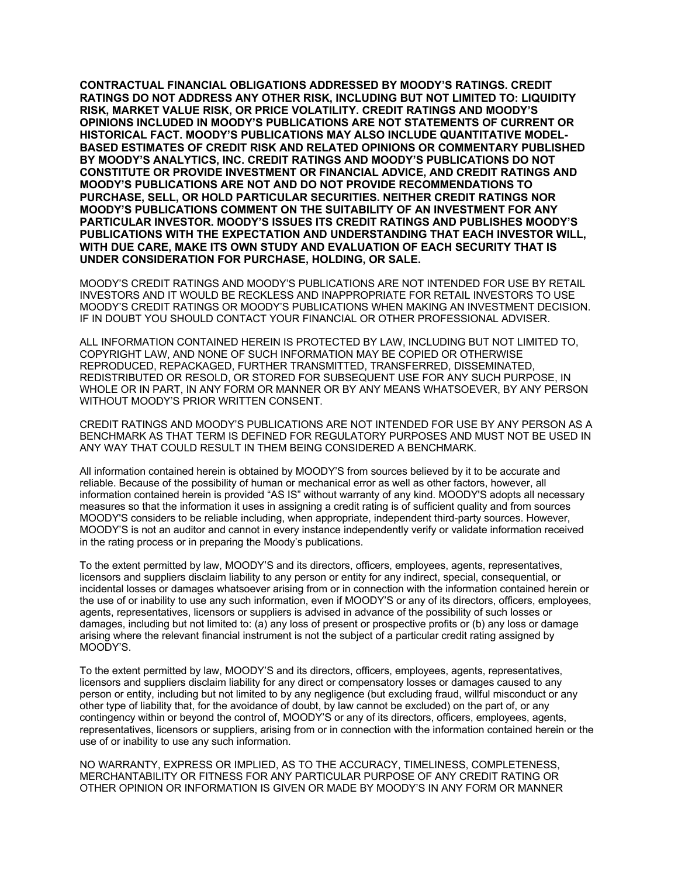**CONTRACTUAL FINANCIAL OBLIGATIONS ADDRESSED BY MOODY'S RATINGS. CREDIT RATINGS DO NOT ADDRESS ANY OTHER RISK, INCLUDING BUT NOT LIMITED TO: LIQUIDITY RISK, MARKET VALUE RISK, OR PRICE VOLATILITY. CREDIT RATINGS AND MOODY'S OPINIONS INCLUDED IN MOODY'S PUBLICATIONS ARE NOT STATEMENTS OF CURRENT OR HISTORICAL FACT. MOODY'S PUBLICATIONS MAY ALSO INCLUDE QUANTITATIVE MODEL-BASED ESTIMATES OF CREDIT RISK AND RELATED OPINIONS OR COMMENTARY PUBLISHED BY MOODY'S ANALYTICS, INC. CREDIT RATINGS AND MOODY'S PUBLICATIONS DO NOT CONSTITUTE OR PROVIDE INVESTMENT OR FINANCIAL ADVICE, AND CREDIT RATINGS AND MOODY'S PUBLICATIONS ARE NOT AND DO NOT PROVIDE RECOMMENDATIONS TO PURCHASE, SELL, OR HOLD PARTICULAR SECURITIES. NEITHER CREDIT RATINGS NOR MOODY'S PUBLICATIONS COMMENT ON THE SUITABILITY OF AN INVESTMENT FOR ANY PARTICULAR INVESTOR. MOODY'S ISSUES ITS CREDIT RATINGS AND PUBLISHES MOODY'S PUBLICATIONS WITH THE EXPECTATION AND UNDERSTANDING THAT EACH INVESTOR WILL, WITH DUE CARE, MAKE ITS OWN STUDY AND EVALUATION OF EACH SECURITY THAT IS UNDER CONSIDERATION FOR PURCHASE, HOLDING, OR SALE.** 

MOODY'S CREDIT RATINGS AND MOODY'S PUBLICATIONS ARE NOT INTENDED FOR USE BY RETAIL INVESTORS AND IT WOULD BE RECKLESS AND INAPPROPRIATE FOR RETAIL INVESTORS TO USE MOODY'S CREDIT RATINGS OR MOODY'S PUBLICATIONS WHEN MAKING AN INVESTMENT DECISION. IF IN DOUBT YOU SHOULD CONTACT YOUR FINANCIAL OR OTHER PROFESSIONAL ADVISER.

ALL INFORMATION CONTAINED HEREIN IS PROTECTED BY LAW, INCLUDING BUT NOT LIMITED TO, COPYRIGHT LAW, AND NONE OF SUCH INFORMATION MAY BE COPIED OR OTHERWISE REPRODUCED, REPACKAGED, FURTHER TRANSMITTED, TRANSFERRED, DISSEMINATED, REDISTRIBUTED OR RESOLD, OR STORED FOR SUBSEQUENT USE FOR ANY SUCH PURPOSE, IN WHOLE OR IN PART, IN ANY FORM OR MANNER OR BY ANY MEANS WHATSOEVER, BY ANY PERSON WITHOUT MOODY'S PRIOR WRITTEN CONSENT.

CREDIT RATINGS AND MOODY'S PUBLICATIONS ARE NOT INTENDED FOR USE BY ANY PERSON AS A BENCHMARK AS THAT TERM IS DEFINED FOR REGULATORY PURPOSES AND MUST NOT BE USED IN ANY WAY THAT COULD RESULT IN THEM BEING CONSIDERED A BENCHMARK.

All information contained herein is obtained by MOODY'S from sources believed by it to be accurate and reliable. Because of the possibility of human or mechanical error as well as other factors, however, all information contained herein is provided "AS IS" without warranty of any kind. MOODY'S adopts all necessary measures so that the information it uses in assigning a credit rating is of sufficient quality and from sources MOODY'S considers to be reliable including, when appropriate, independent third-party sources. However, MOODY'S is not an auditor and cannot in every instance independently verify or validate information received in the rating process or in preparing the Moody's publications.

To the extent permitted by law, MOODY'S and its directors, officers, employees, agents, representatives, licensors and suppliers disclaim liability to any person or entity for any indirect, special, consequential, or incidental losses or damages whatsoever arising from or in connection with the information contained herein or the use of or inability to use any such information, even if MOODY'S or any of its directors, officers, employees, agents, representatives, licensors or suppliers is advised in advance of the possibility of such losses or damages, including but not limited to: (a) any loss of present or prospective profits or (b) any loss or damage arising where the relevant financial instrument is not the subject of a particular credit rating assigned by MOODY'S.

To the extent permitted by law, MOODY'S and its directors, officers, employees, agents, representatives, licensors and suppliers disclaim liability for any direct or compensatory losses or damages caused to any person or entity, including but not limited to by any negligence (but excluding fraud, willful misconduct or any other type of liability that, for the avoidance of doubt, by law cannot be excluded) on the part of, or any contingency within or beyond the control of, MOODY'S or any of its directors, officers, employees, agents, representatives, licensors or suppliers, arising from or in connection with the information contained herein or the use of or inability to use any such information.

NO WARRANTY, EXPRESS OR IMPLIED, AS TO THE ACCURACY, TIMELINESS, COMPLETENESS, MERCHANTABILITY OR FITNESS FOR ANY PARTICULAR PURPOSE OF ANY CREDIT RATING OR OTHER OPINION OR INFORMATION IS GIVEN OR MADE BY MOODY'S IN ANY FORM OR MANNER